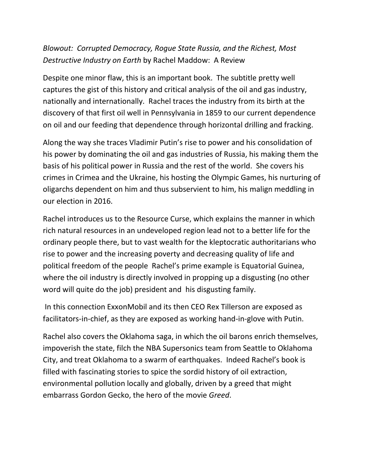## *Blowout: Corrupted Democracy, Rogue State Russia, and the Richest, Most Destructive Industry on Earth* by Rachel Maddow: A Review

Despite one minor flaw, this is an important book. The subtitle pretty well captures the gist of this history and critical analysis of the oil and gas industry, nationally and internationally. Rachel traces the industry from its birth at the discovery of that first oil well in Pennsylvania in 1859 to our current dependence on oil and our feeding that dependence through horizontal drilling and fracking.

Along the way she traces Vladimir Putin's rise to power and his consolidation of his power by dominating the oil and gas industries of Russia, his making them the basis of his political power in Russia and the rest of the world. She covers his crimes in Crimea and the Ukraine, his hosting the Olympic Games, his nurturing of oligarchs dependent on him and thus subservient to him, his malign meddling in our election in 2016.

Rachel introduces us to the Resource Curse, which explains the manner in which rich natural resources in an undeveloped region lead not to a better life for the ordinary people there, but to vast wealth for the kleptocratic authoritarians who rise to power and the increasing poverty and decreasing quality of life and political freedom of the people Rachel's prime example is Equatorial Guinea, where the oil industry is directly involved in propping up a disgusting (no other word will quite do the job) president and his disgusting family.

In this connection ExxonMobil and its then CEO Rex Tillerson are exposed as facilitators-in-chief, as they are exposed as working hand-in-glove with Putin.

Rachel also covers the Oklahoma saga, in which the oil barons enrich themselves, impoverish the state, filch the NBA Supersonics team from Seattle to Oklahoma City, and treat Oklahoma to a swarm of earthquakes. Indeed Rachel's book is filled with fascinating stories to spice the sordid history of oil extraction, environmental pollution locally and globally, driven by a greed that might embarrass Gordon Gecko, the hero of the movie *Greed*.